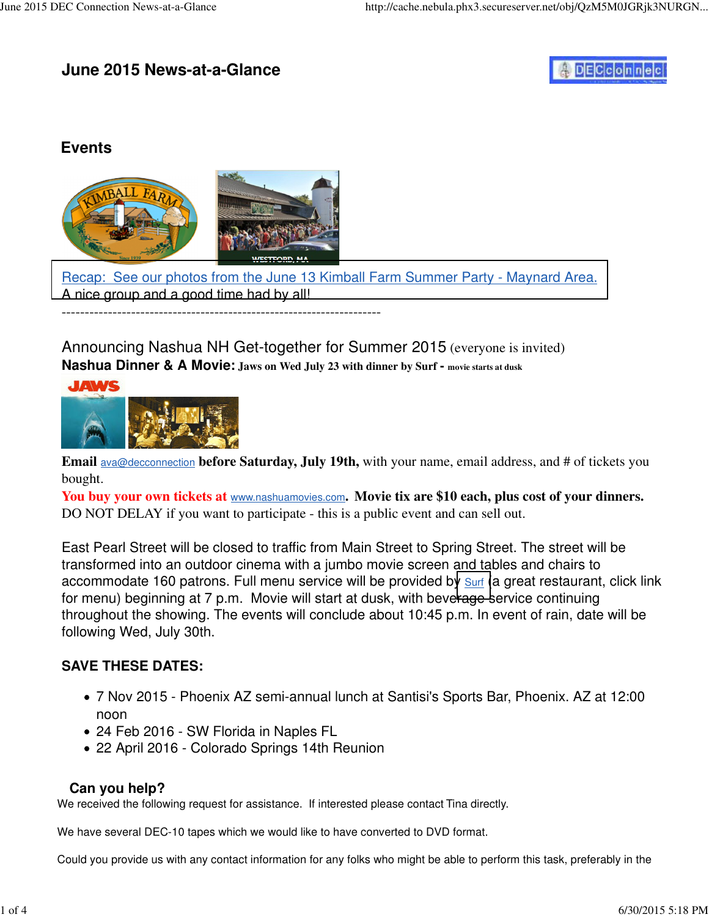## **June 2015 News-at-a-Glance**

# **DECconnec**

#### **Events**



[Recap: See our photos from the June 13 Kimball Farm Summer Party - Maynard Area.](http://www.decconnection.org/events-KimballFarms-June2015.htm) A nice group and a good time had by all! ---------------------------------------------------------------------

Announcing Nashua NH Get-together for Summer 2015 (everyone is invited) **Nashua Dinner & A Movie: Jaws on Wed July 23 with dinner by Surf - movie starts at dusk**



**Email** ava@decconnection **before Saturday, July 19th,** with your name, email address, and # of tickets you bought.

**You buy your own tickets at** [www.nashuamovies.com](http://www.nashuamovies.com)**. Movie tix are \$10 each, plus cost of your dinners.** DO NOT DELAY if you want to participate - this is a public event and can sell out.

East Pearl Street will be closed to traffic from Main Street to Spring Street. The street will be transformed into an outdoor cinema with a jumbo movie screen and tables and chairs to accommodate 160 patrons. Full menu service will be provided by surf (a great restaurant, click link for menu) beginning at 7 p.m. Movie will start at dusk, with beve[rage s](http://www.surfseafood.com)ervice continuing throughout the showing. The events will conclude about 10:45 p.m. In event of rain, date will be following Wed, July 30th.

#### **SAVE THESE DATES:**

- 7 Nov 2015 Phoenix AZ semi-annual lunch at Santisi's Sports Bar, Phoenix. AZ at 12:00 noon
- 24 Feb 2016 SW Florida in Naples FL
- 22 April 2016 Colorado Springs 14th Reunion

#### **Can you help?**

We received the following request for assistance. If interested please contact Tina directly.

We have several DEC-10 tapes which we would like to have converted to DVD format.

Could you provide us with any contact information for any folks who might be able to perform this task, preferably in the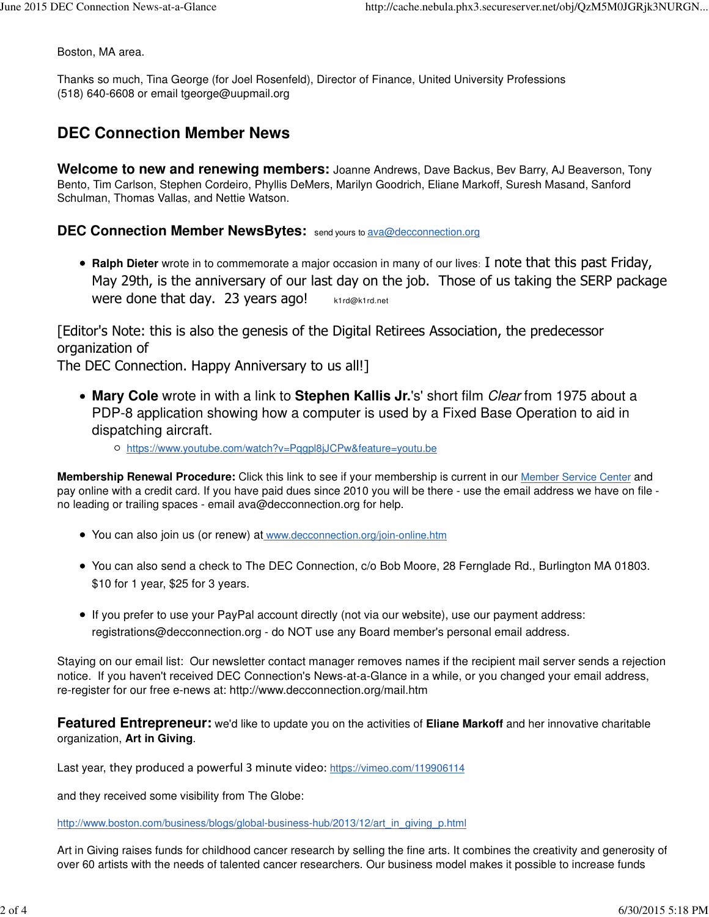Boston, MA area.

Thanks so much, Tina George (for Joel Rosenfeld), Director of Finance, United University Professions (518) 640-6608 or email [tgeorge@uupmail.org](mailto:tgeorge@uupmail.org)

## **DEC Connection Member News**

**Welcome to new and renewing members:** Joanne Andrews, Dave Backus, Bev Barry, AJ Beaverson, Tony Bento, Tim Carlson, Stephen Cordeiro, Phyllis DeMers, Marilyn Goodrich, Eliane Markoff, Suresh Masand, Sanford Schulman, Thomas Vallas, and Nettie Watson.

#### **DEC Connection Member NewsBytes:** send yours to [ava@decconnection.org](mailto:ava@decconnection.org)

**Ralph Dieter** wrote in to commemorate a major occasion in many of our lives: I note that this past Friday, May 29th, is the anniversary of our last day on the job. Those of us taking the SERP package Were done that day. 23 years ago! [k1rd@k1rd.net](mailto:k1rd@k1rd.net)

[Editor's Note: this is also the genesis of the Digital Retirees Association, the predecessor organization of

The DEC Connection. Happy Anniversary to us all!]

- **Mary Cole** wrote in with a link to **Stephen Kallis Jr.**'s' short film Clear from 1975 about a PDP-8 application showing how a computer is used by a Fixed Base Operation to aid in dispatching aircraft.
	- <https://www.youtube.com/watch?v=Pqgpl8jJCPw&feature=youtu.be>

**Membership Renewal Procedure:** Click this link to see if your membership is current in our Member Service Center and pay online with a credit card. If you have paid dues since 2010 you will be there - use the email address we have on file no leading or trailing spaces - email [ava@decconnection.org fo](mailto:ava@decconnection.org)r help.

- You can also join us (or renew) at [www.decconnection.org/join-online.htm](http://www.decconnection.org/join-online.htm)
- You can also send a check to The DEC Connection, c/o Bob Moore, 28 Fernglade Rd., Burlington MA 01803. \$10 for 1 year, \$25 for 3 years.
- If you prefer to use your PayPal account directly (not via our website), use our payment address: [registrations@decconnection.org - d](mailto:registrations@decconnection.org)o NOT use any Board member's personal email address.

Staying on our email list: Our newsletter contact manager removes names if the recipient mail server sends a rejection notice. If you haven't received DEC Connection's News-at-a-Glance in a while, or you changed your email address, re-register for our free e-news at:<http://www.decconnection.org/mail.htm>

**Featured Entrepreneur:** we'd like to update you on the activities of **Eliane Markoff** and her innovative charitable organization, **Art in Giving**.

Last year, they produced a powerful 3 minute video: <https://vimeo.com/119906114>

and they received some visibility from The Globe:

[http://www.boston.com/business/blogs/global-business-hub/2013/12/art\\_in\\_giving\\_p.html](http://www.boston.com/business/blogs/global-business-hub/2013/12/art_in_giving_p.html)

Art in Giving raises funds for childhood cancer research by selling the fine arts. It combines the creativity and generosity of over 60 artists with the needs of talented cancer researchers. Our business model makes it possible to increase funds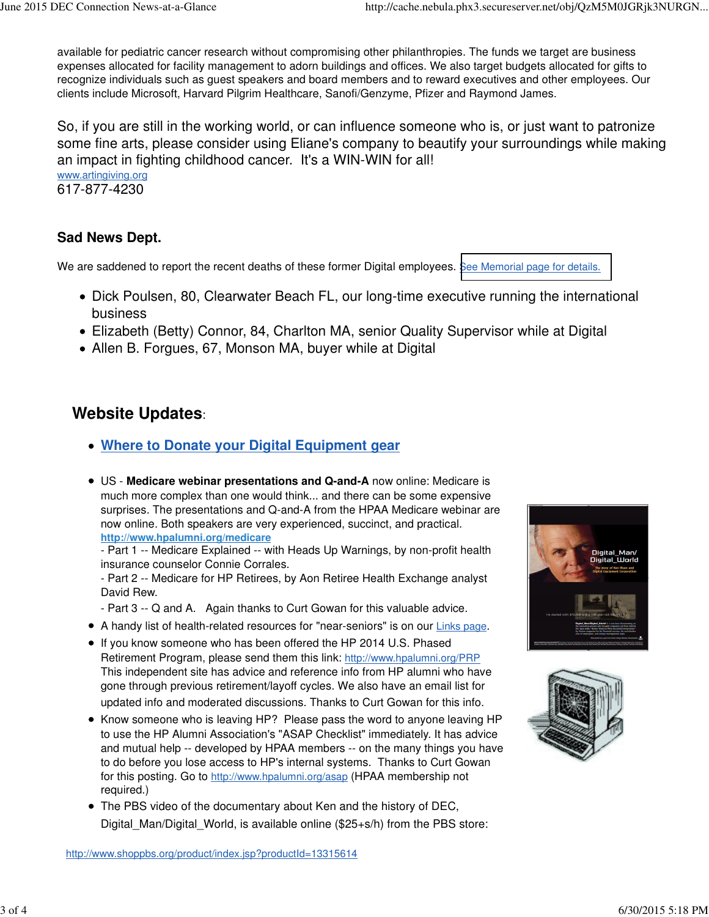available for pediatric cancer research without compromising other philanthropies. The funds we target are business expenses allocated for facility management to adorn buildings and offices. We also target budgets allocated for gifts to recognize individuals such as guest speakers and board members and to reward executives and other employees. Our clients include Microsoft, Harvard Pilgrim Healthcare, Sanofi/Genzyme, Pfizer and Raymond James.

So, if you are still in the working world, or can influence someone who is, or just want to patronize some fine arts, please consider using Eliane's company to beautify your surroundings while making an impact in fighting childhood cancer. It's a WIN-WIN for all! [www.artingiving.org](http://www.artingiving.org)

617-877-4230

#### **Sad News Dept.**

We are saddened to report the recent deaths of these former Digital employees. [See Memorial page for details.](http://www.decconnection.org/memorials.htm)

- Dick Poulsen, 80, Clearwater Beach FL, our long-time executive running the international business
- Elizabeth (Betty) Connor, 84, Charlton MA, senior Quality Supervisor while at Digital
- Allen B. Forgues, 67, Monson MA, buyer while at Digital

### **Website Updates**:

- **Where to Donate your Digital Equipment gear**
- US - **Medicare webinar presentations and Q-and-A** now online: Medicare is much more complex than one would think... and there can be some expensive surprises. The presentations and Q-and-A from the HPAA Medicare webinar are now online. Both speakers are very experienced, succinct, and practical. **<http://www.hpalumni.org/medicare>**

- Part 1 -- Medicare Explained -- with Heads Up Warnings, by non-profit health insurance counselor Connie Corrales.

- Part 2 -- Medicare for HP Retirees, by Aon Retiree Health Exchange analyst David Rew.

- Part 3 -- Q and A. Again thanks to Curt Gowan for this valuable advice.
- A handy list of health-related resources for "near-seniors" is on our Links page.
- If you know someone who has been offered the HP 2014 U.S. Phased Retirement Program, please send them this link: <http://www.hpalumni.org/PRP> This independent site has advice and reference info from HP alumni who have gone through previous retirement/layoff cycles. We also have an email list for updated info and moderated discussions. Thanks to Curt Gowan for this info.
- Know someone who is leaving HP? Please pass the word to anyone leaving HP to use the HP Alumni Association's "ASAP Checklist" immediately. It has advice and mutual help -- developed by HPAA members -- on the many things you have to do before you lose access to HP's internal systems. Thanks to Curt Gowan for this posting. Go to <http://www.hpalumni.org/asap> (HPAA membership not required.)
- The PBS video of the documentary about Ken and the history of DEC, Digital Man/Digital World, is available online (\$25+s/h) from the PBS store: